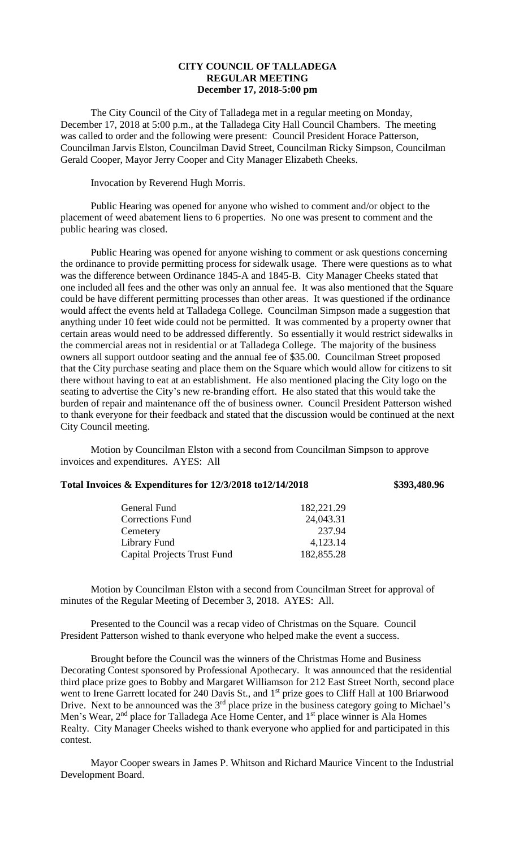## **CITY COUNCIL OF TALLADEGA REGULAR MEETING December 17, 2018-5:00 pm**

The City Council of the City of Talladega met in a regular meeting on Monday, December 17, 2018 at 5:00 p.m., at the Talladega City Hall Council Chambers. The meeting was called to order and the following were present: Council President Horace Patterson, Councilman Jarvis Elston, Councilman David Street, Councilman Ricky Simpson, Councilman Gerald Cooper, Mayor Jerry Cooper and City Manager Elizabeth Cheeks.

Invocation by Reverend Hugh Morris.

Public Hearing was opened for anyone who wished to comment and/or object to the placement of weed abatement liens to 6 properties. No one was present to comment and the public hearing was closed.

Public Hearing was opened for anyone wishing to comment or ask questions concerning the ordinance to provide permitting process for sidewalk usage. There were questions as to what was the difference between Ordinance 1845-A and 1845-B. City Manager Cheeks stated that one included all fees and the other was only an annual fee. It was also mentioned that the Square could be have different permitting processes than other areas. It was questioned if the ordinance would affect the events held at Talladega College. Councilman Simpson made a suggestion that anything under 10 feet wide could not be permitted. It was commented by a property owner that certain areas would need to be addressed differently. So essentially it would restrict sidewalks in the commercial areas not in residential or at Talladega College. The majority of the business owners all support outdoor seating and the annual fee of \$35.00. Councilman Street proposed that the City purchase seating and place them on the Square which would allow for citizens to sit there without having to eat at an establishment. He also mentioned placing the City logo on the seating to advertise the City's new re-branding effort. He also stated that this would take the burden of repair and maintenance off the of business owner. Council President Patterson wished to thank everyone for their feedback and stated that the discussion would be continued at the next City Council meeting.

Motion by Councilman Elston with a second from Councilman Simpson to approve invoices and expenditures. AYES: All

## **Total Invoices & Expenditures for 12/3/2018 to12/14/2018 \$393,480.96**

| General Fund                       | 182,221.29 |
|------------------------------------|------------|
| <b>Corrections Fund</b>            | 24,043.31  |
| Cemetery                           | 237.94     |
| Library Fund                       | 4,123.14   |
| <b>Capital Projects Trust Fund</b> | 182,855.28 |

Motion by Councilman Elston with a second from Councilman Street for approval of minutes of the Regular Meeting of December 3, 2018. AYES: All.

Presented to the Council was a recap video of Christmas on the Square. Council President Patterson wished to thank everyone who helped make the event a success.

Brought before the Council was the winners of the Christmas Home and Business Decorating Contest sponsored by Professional Apothecary. It was announced that the residential third place prize goes to Bobby and Margaret Williamson for 212 East Street North, second place went to Irene Garrett located for 240 Davis St., and 1<sup>st</sup> prize goes to Cliff Hall at 100 Briarwood Drive. Next to be announced was the  $3<sup>rd</sup>$  place prize in the business category going to Michael's Men's Wear,  $2<sup>nd</sup>$  place for Talladega Ace Home Center, and  $1<sup>st</sup>$  place winner is Ala Homes Realty. City Manager Cheeks wished to thank everyone who applied for and participated in this contest.

Mayor Cooper swears in James P. Whitson and Richard Maurice Vincent to the Industrial Development Board.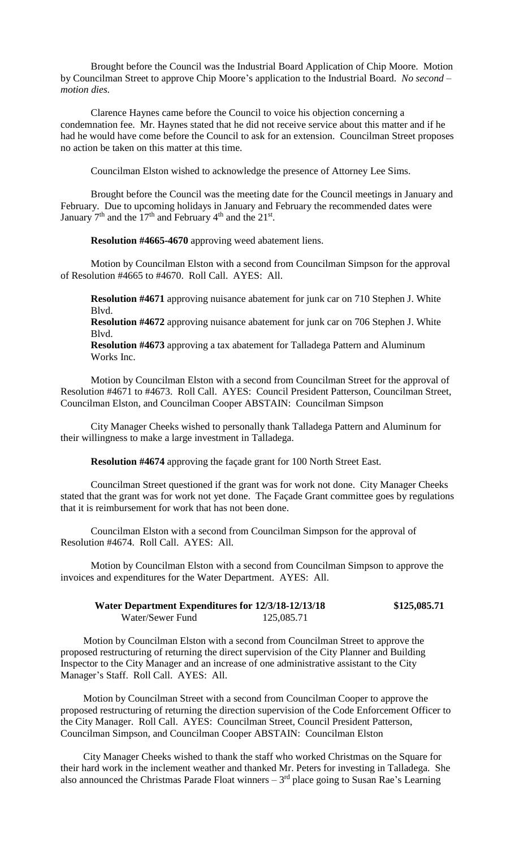Brought before the Council was the Industrial Board Application of Chip Moore. Motion by Councilman Street to approve Chip Moore's application to the Industrial Board. *No second – motion dies.*

Clarence Haynes came before the Council to voice his objection concerning a condemnation fee. Mr. Haynes stated that he did not receive service about this matter and if he had he would have come before the Council to ask for an extension. Councilman Street proposes no action be taken on this matter at this time.

Councilman Elston wished to acknowledge the presence of Attorney Lee Sims.

Brought before the Council was the meeting date for the Council meetings in January and February. Due to upcoming holidays in January and February the recommended dates were January  $7<sup>th</sup>$  and the 17<sup>th</sup> and February 4<sup>th</sup> and the 21<sup>st</sup>.

**Resolution #4665-4670** approving weed abatement liens.

Motion by Councilman Elston with a second from Councilman Simpson for the approval of Resolution #4665 to #4670. Roll Call. AYES: All.

**Resolution #4671** approving nuisance abatement for junk car on 710 Stephen J. White Blvd.

**Resolution #4672** approving nuisance abatement for junk car on 706 Stephen J. White Blvd.

**Resolution #4673** approving a tax abatement for Talladega Pattern and Aluminum Works Inc.

Motion by Councilman Elston with a second from Councilman Street for the approval of Resolution #4671 to #4673. Roll Call. AYES: Council President Patterson, Councilman Street, Councilman Elston, and Councilman Cooper ABSTAIN: Councilman Simpson

City Manager Cheeks wished to personally thank Talladega Pattern and Aluminum for their willingness to make a large investment in Talladega.

**Resolution #4674** approving the façade grant for 100 North Street East.

Councilman Street questioned if the grant was for work not done. City Manager Cheeks stated that the grant was for work not yet done. The Façade Grant committee goes by regulations that it is reimbursement for work that has not been done.

Councilman Elston with a second from Councilman Simpson for the approval of Resolution #4674. Roll Call. AYES: All.

Motion by Councilman Elston with a second from Councilman Simpson to approve the invoices and expenditures for the Water Department. AYES: All.

| Water Department Expenditures for 12/3/18-12/13/18 |            | \$125,085.71 |
|----------------------------------------------------|------------|--------------|
| Water/Sewer Fund                                   | 125,085.71 |              |

Motion by Councilman Elston with a second from Councilman Street to approve the proposed restructuring of returning the direct supervision of the City Planner and Building Inspector to the City Manager and an increase of one administrative assistant to the City Manager's Staff. Roll Call. AYES: All.

Motion by Councilman Street with a second from Councilman Cooper to approve the proposed restructuring of returning the direction supervision of the Code Enforcement Officer to the City Manager. Roll Call. AYES: Councilman Street, Council President Patterson, Councilman Simpson, and Councilman Cooper ABSTAIN: Councilman Elston

City Manager Cheeks wished to thank the staff who worked Christmas on the Square for their hard work in the inclement weather and thanked Mr. Peters for investing in Talladega. She also announced the Christmas Parade Float winners  $-3<sup>rd</sup>$  place going to Susan Rae's Learning